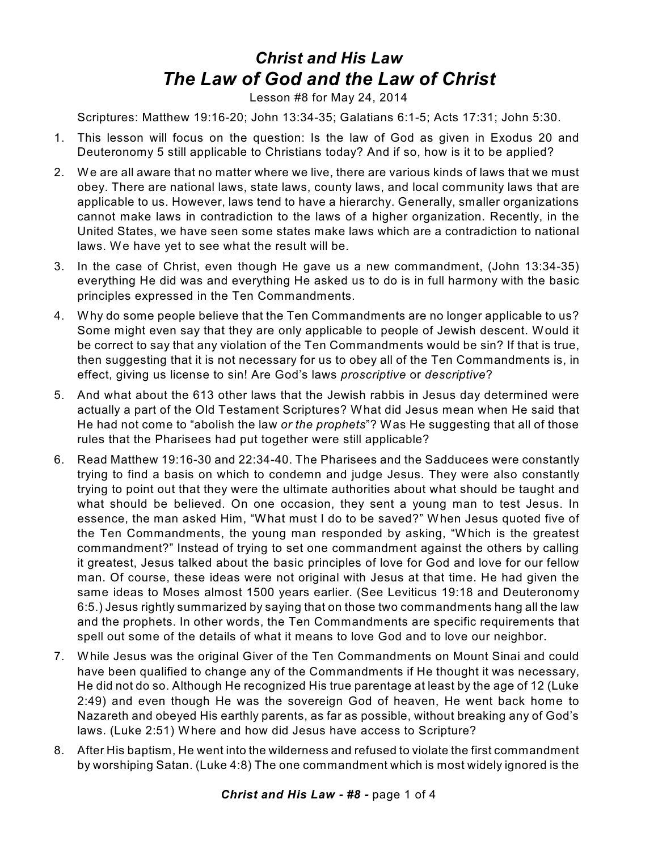## *Christ and His Law The Law of God and the Law of Christ*

Lesson #8 for May 24, 2014

Scriptures: Matthew 19:16-20; John 13:34-35; Galatians 6:1-5; Acts 17:31; John 5:30.

- 1. This lesson will focus on the question: Is the law of God as given in Exodus 20 and Deuteronomy 5 still applicable to Christians today? And if so, how is it to be applied?
- 2. We are all aware that no matter where we live, there are various kinds of laws that we must obey. There are national laws, state laws, county laws, and local community laws that are applicable to us. However, laws tend to have a hierarchy. Generally, smaller organizations cannot make laws in contradiction to the laws of a higher organization. Recently, in the United States, we have seen some states make laws which are a contradiction to national laws. We have yet to see what the result will be.
- 3. In the case of Christ, even though He gave us a new commandment, (John 13:34-35) everything He did was and everything He asked us to do is in full harmony with the basic principles expressed in the Ten Commandments.
- 4. Why do some people believe that the Ten Commandments are no longer applicable to us? Some might even say that they are only applicable to people of Jewish descent. Would it be correct to say that any violation of the Ten Commandments would be sin? If that is true, then suggesting that it is not necessary for us to obey all of the Ten Commandments is, in effect, giving us license to sin! Are God's laws *proscriptive* or *descriptive*?
- 5. And what about the 613 other laws that the Jewish rabbis in Jesus day determined were actually a part of the Old Testament Scriptures? What did Jesus mean when He said that He had not come to "abolish the law *or the prophets*"? Was He suggesting that all of those rules that the Pharisees had put together were still applicable?
- 6. Read Matthew 19:16-30 and 22:34-40. The Pharisees and the Sadducees were constantly trying to find a basis on which to condemn and judge Jesus. They were also constantly trying to point out that they were the ultimate authorities about what should be taught and what should be believed. On one occasion, they sent a young man to test Jesus. In essence, the man asked Him, "What must I do to be saved?" When Jesus quoted five of the Ten Commandments, the young man responded by asking, "Which is the greatest commandment?" Instead of trying to set one commandment against the others by calling it greatest, Jesus talked about the basic principles of love for God and love for our fellow man. Of course, these ideas were not original with Jesus at that time. He had given the same ideas to Moses almost 1500 years earlier. (See Leviticus 19:18 and Deuteronomy 6:5.) Jesus rightly summarized by saying that on those two commandments hang all the law and the prophets. In other words, the Ten Commandments are specific requirements that spell out some of the details of what it means to love God and to love our neighbor.
- 7. While Jesus was the original Giver of the Ten Commandments on Mount Sinai and could have been qualified to change any of the Commandments if He thought it was necessary, He did not do so. Although He recognized His true parentage at least by the age of 12 (Luke 2:49) and even though He was the sovereign God of heaven, He went back home to Nazareth and obeyed His earthly parents, as far as possible, without breaking any of God's laws. (Luke 2:51) Where and how did Jesus have access to Scripture?
- 8. After His baptism, He went into the wilderness and refused to violate the first commandment by worshiping Satan. (Luke 4:8) The one commandment which is most widely ignored is the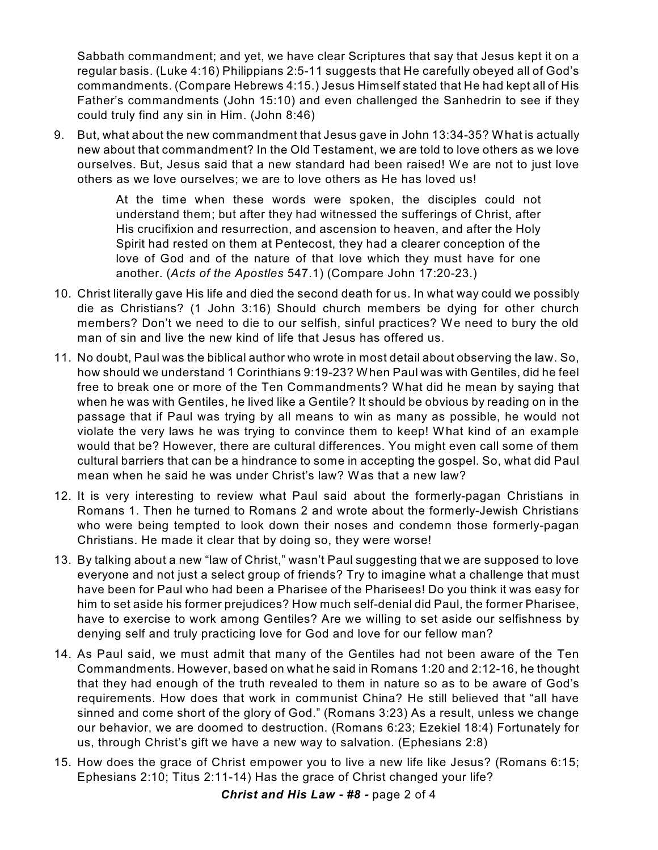Sabbath commandment; and yet, we have clear Scriptures that say that Jesus kept it on a regular basis. (Luke 4:16) Philippians 2:5-11 suggests that He carefully obeyed all of God's commandments. (Compare Hebrews 4:15.) Jesus Himself stated that He had kept all of His Father's commandments (John 15:10) and even challenged the Sanhedrin to see if they could truly find any sin in Him. (John 8:46)

9. But, what about the new commandment that Jesus gave in John 13:34-35? What is actually new about that commandment? In the Old Testament, we are told to love others as we love ourselves. But, Jesus said that a new standard had been raised! We are not to just love others as we love ourselves; we are to love others as He has loved us!

> At the time when these words were spoken, the disciples could not understand them; but after they had witnessed the sufferings of Christ, after His crucifixion and resurrection, and ascension to heaven, and after the Holy Spirit had rested on them at Pentecost, they had a clearer conception of the love of God and of the nature of that love which they must have for one another. (*Acts of the Apostles* 547.1) (Compare John 17:20-23.)

- 10. Christ literally gave His life and died the second death for us. In what way could we possibly die as Christians? (1 John 3:16) Should church members be dying for other church members? Don't we need to die to our selfish, sinful practices? We need to bury the old man of sin and live the new kind of life that Jesus has offered us.
- 11. No doubt, Paul was the biblical author who wrote in most detail about observing the law. So, how should we understand 1 Corinthians 9:19-23? When Paul was with Gentiles, did he feel free to break one or more of the Ten Commandments? What did he mean by saying that when he was with Gentiles, he lived like a Gentile? It should be obvious by reading on in the passage that if Paul was trying by all means to win as many as possible, he would not violate the very laws he was trying to convince them to keep! What kind of an example would that be? However, there are cultural differences. You might even call some of them cultural barriers that can be a hindrance to some in accepting the gospel. So, what did Paul mean when he said he was under Christ's law? Was that a new law?
- 12. It is very interesting to review what Paul said about the formerly-pagan Christians in Romans 1. Then he turned to Romans 2 and wrote about the formerly-Jewish Christians who were being tempted to look down their noses and condemn those formerly-pagan Christians. He made it clear that by doing so, they were worse!
- 13. By talking about a new "law of Christ," wasn't Paul suggesting that we are supposed to love everyone and not just a select group of friends? Try to imagine what a challenge that must have been for Paul who had been a Pharisee of the Pharisees! Do you think it was easy for him to set aside his former prejudices? How much self-denial did Paul, the former Pharisee, have to exercise to work among Gentiles? Are we willing to set aside our selfishness by denying self and truly practicing love for God and love for our fellow man?
- 14. As Paul said, we must admit that many of the Gentiles had not been aware of the Ten Commandments. However, based on what he said in Romans 1:20 and 2:12-16, he thought that they had enough of the truth revealed to them in nature so as to be aware of God's requirements. How does that work in communist China? He still believed that "all have sinned and come short of the glory of God." (Romans 3:23) As a result, unless we change our behavior, we are doomed to destruction. (Romans 6:23; Ezekiel 18:4) Fortunately for us, through Christ's gift we have a new way to salvation. (Ephesians 2:8)
- 15. How does the grace of Christ empower you to live a new life like Jesus? (Romans 6:15; Ephesians 2:10; Titus 2:11-14) Has the grace of Christ changed your life?

*Christ and His Law - #8 -* page 2 of 4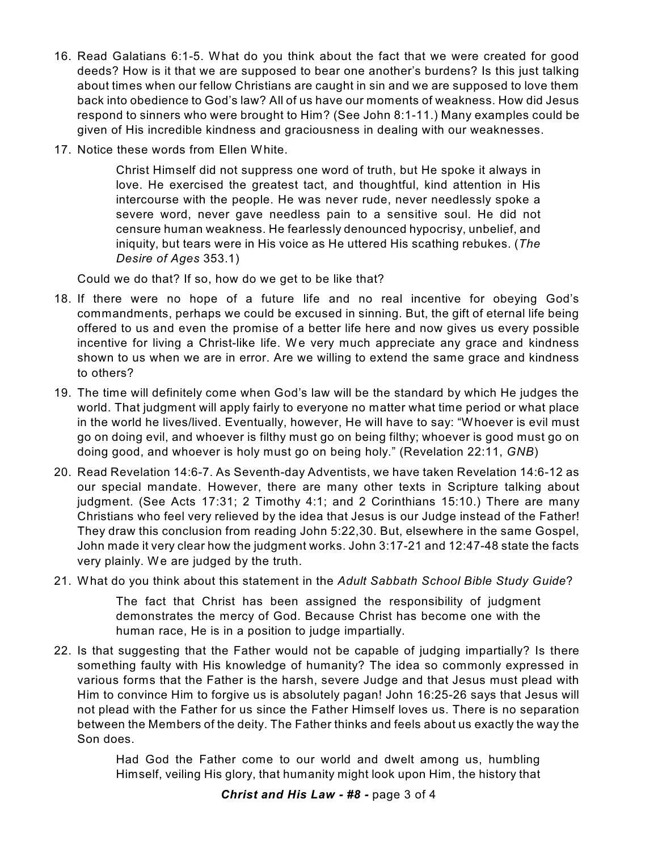- 16. Read Galatians 6:1-5. What do you think about the fact that we were created for good deeds? How is it that we are supposed to bear one another's burdens? Is this just talking about times when our fellow Christians are caught in sin and we are supposed to love them back into obedience to God's law? All of us have our moments of weakness. How did Jesus respond to sinners who were brought to Him? (See John 8:1-11.) Many examples could be given of His incredible kindness and graciousness in dealing with our weaknesses.
- 17. Notice these words from Ellen White.

Christ Himself did not suppress one word of truth, but He spoke it always in love. He exercised the greatest tact, and thoughtful, kind attention in His intercourse with the people. He was never rude, never needlessly spoke a severe word, never gave needless pain to a sensitive soul. He did not censure human weakness. He fearlessly denounced hypocrisy, unbelief, and iniquity, but tears were in His voice as He uttered His scathing rebukes. (*The Desire of Ages* 353.1)

Could we do that? If so, how do we get to be like that?

- 18. If there were no hope of a future life and no real incentive for obeying God's commandments, perhaps we could be excused in sinning. But, the gift of eternal life being offered to us and even the promise of a better life here and now gives us every possible incentive for living a Christ-like life. We very much appreciate any grace and kindness shown to us when we are in error. Are we willing to extend the same grace and kindness to others?
- 19. The time will definitely come when God's law will be the standard by which He judges the world. That judgment will apply fairly to everyone no matter what time period or what place in the world he lives/lived. Eventually, however, He will have to say: "Whoever is evil must go on doing evil, and whoever is filthy must go on being filthy; whoever is good must go on doing good, and whoever is holy must go on being holy." (Revelation 22:11, *GNB*)
- 20. Read Revelation 14:6-7. As Seventh-day Adventists, we have taken Revelation 14:6-12 as our special mandate. However, there are many other texts in Scripture talking about judgment. (See Acts 17:31; 2 Timothy 4:1; and 2 Corinthians 15:10.) There are many Christians who feel very relieved by the idea that Jesus is our Judge instead of the Father! They draw this conclusion from reading John 5:22,30. But, elsewhere in the same Gospel, John made it very clear how the judgment works. John 3:17-21 and 12:47-48 state the facts very plainly. We are judged by the truth.
- 21. What do you think about this statement in the *Adult Sabbath School Bible Study Guide*?

The fact that Christ has been assigned the responsibility of judgment demonstrates the mercy of God. Because Christ has become one with the human race, He is in a position to judge impartially.

22. Is that suggesting that the Father would not be capable of judging impartially? Is there something faulty with His knowledge of humanity? The idea so commonly expressed in various forms that the Father is the harsh, severe Judge and that Jesus must plead with Him to convince Him to forgive us is absolutely pagan! John 16:25-26 says that Jesus will not plead with the Father for us since the Father Himself loves us. There is no separation between the Members of the deity. The Father thinks and feels about us exactly the way the Son does.

> Had God the Father come to our world and dwelt among us, humbling Himself, veiling His glory, that humanity might look upon Him, the history that